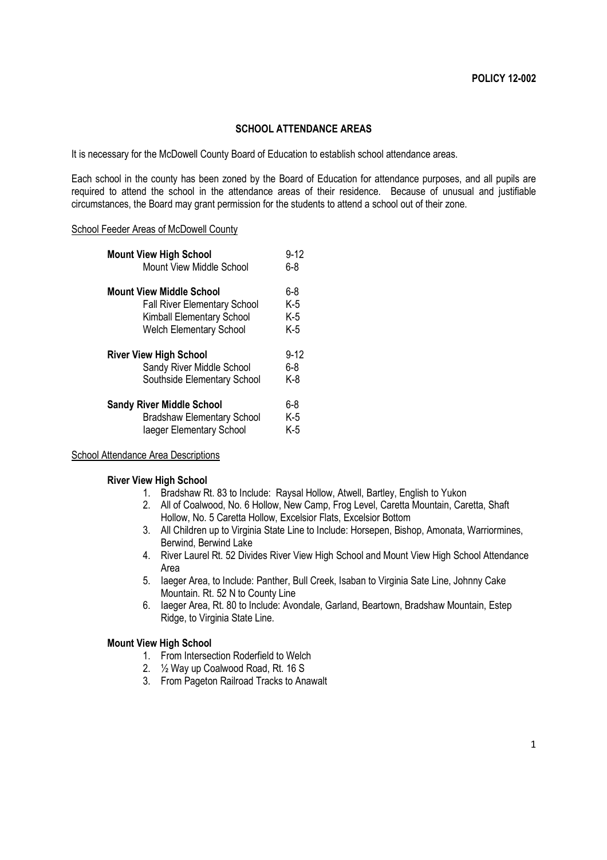# **SCHOOL ATTENDANCE AREAS**

It is necessary for the McDowell County Board of Education to establish school attendance areas.

Each school in the county has been zoned by the Board of Education for attendance purposes, and all pupils are required to attend the school in the attendance areas of their residence. Because of unusual and justifiable circumstances, the Board may grant permission for the students to attend a school out of their zone.

## School Feeder Areas of McDowell County

| <b>Mount View High School</b><br>Mount View Middle School                                                                             | $9 - 12$<br>հ-8          |
|---------------------------------------------------------------------------------------------------------------------------------------|--------------------------|
| <b>Mount View Middle School</b><br><b>Fall River Elementary School</b><br>Kimball Elementary School<br><b>Welch Elementary School</b> | 6-8<br>K-5<br>K-5<br>K-5 |
| <b>River View High School</b><br>Sandy River Middle School<br>Southside Elementary School                                             | $9 - 12$<br>6-8<br>K-8   |
| <b>Sandy River Middle School</b><br><b>Bradshaw Elementary School</b><br>laeger Elementary School                                     | 6-8<br>K-5<br>K-5        |

### School Attendance Area Descriptions

### **River View High School**

- 1. Bradshaw Rt. 83 to Include: Raysal Hollow, Atwell, Bartley, English to Yukon
- 2. All of Coalwood, No. 6 Hollow, New Camp, Frog Level, Caretta Mountain, Caretta, Shaft Hollow, No. 5 Caretta Hollow, Excelsior Flats, Excelsior Bottom
- 3. All Children up to Virginia State Line to Include: Horsepen, Bishop, Amonata, Warriormines, Berwind, Berwind Lake
- 4. River Laurel Rt. 52 Divides River View High School and Mount View High School Attendance Area
- 5. Iaeger Area, to Include: Panther, Bull Creek, Isaban to Virginia Sate Line, Johnny Cake Mountain. Rt. 52 N to County Line
- 6. Iaeger Area, Rt. 80 to Include: Avondale, Garland, Beartown, Bradshaw Mountain, Estep Ridge, to Virginia State Line.

### **Mount View High School**

- 1. From Intersection Roderfield to Welch
- 2. ½ Way up Coalwood Road, Rt. 16 S
- 3. From Pageton Railroad Tracks to Anawalt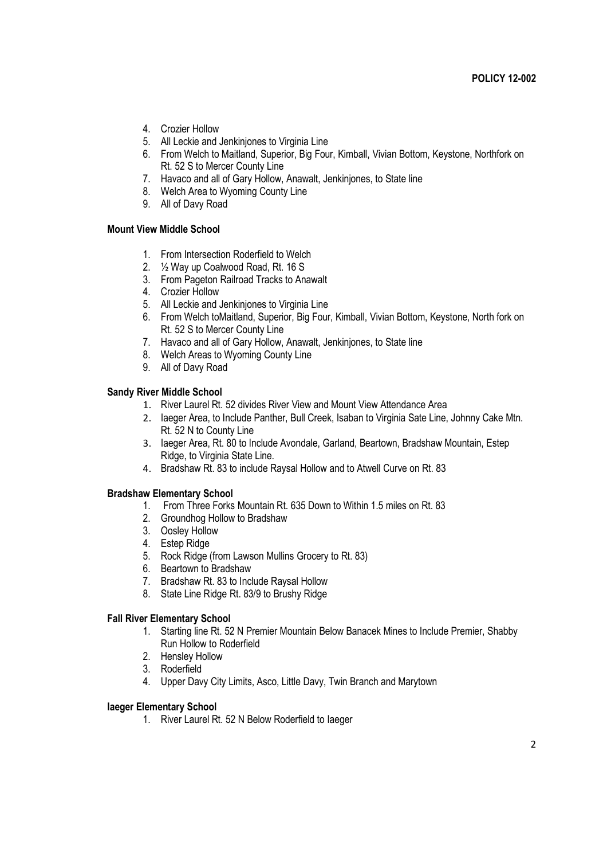- 4. Crozier Hollow
- 5. All Leckie and Jenkinjones to Virginia Line
- 6. From Welch to Maitland, Superior, Big Four, Kimball, Vivian Bottom, Keystone, Northfork on Rt. 52 S to Mercer County Line
- 7. Havaco and all of Gary Hollow, Anawalt, Jenkinjones, to State line
- 8. Welch Area to Wyoming County Line
- 9. All of Davy Road

# **Mount View Middle School**

- 1. From Intersection Roderfield to Welch
- 2. ½ Way up Coalwood Road, Rt. 16 S
- 3. From Pageton Railroad Tracks to Anawalt
- 4. Crozier Hollow
- 5. All Leckie and Jenkinjones to Virginia Line
- 6. From Welch toMaitland, Superior, Big Four, Kimball, Vivian Bottom, Keystone, North fork on Rt. 52 S to Mercer County Line
- 7. Havaco and all of Gary Hollow, Anawalt, Jenkinjones, to State line
- 8. Welch Areas to Wyoming County Line
- 9. All of Davy Road

#### **Sandy River Middle School**

- 1. River Laurel Rt. 52 divides River View and Mount View Attendance Area
- 2. Iaeger Area, to Include Panther, Bull Creek, Isaban to Virginia Sate Line, Johnny Cake Mtn. Rt. 52 N to County Line
- 3. Iaeger Area, Rt. 80 to Include Avondale, Garland, Beartown, Bradshaw Mountain, Estep Ridge, to Virginia State Line.
- 4. Bradshaw Rt. 83 to include Raysal Hollow and to Atwell Curve on Rt. 83

#### **Bradshaw Elementary School**

- 1. From Three Forks Mountain Rt. 635 Down to Within 1.5 miles on Rt. 83
- 2. Groundhog Hollow to Bradshaw
- 3. Oosley Hollow
- 4. Estep Ridge
- 5. Rock Ridge (from Lawson Mullins Grocery to Rt. 83)
- 6. Beartown to Bradshaw
- 7. Bradshaw Rt. 83 to Include Raysal Hollow
- 8. State Line Ridge Rt. 83/9 to Brushy Ridge

#### **Fall River Elementary School**

- 1. Starting line Rt. 52 N Premier Mountain Below Banacek Mines to Include Premier, Shabby Run Hollow to Roderfield
- 2. Hensley Hollow
- 3. Roderfield
- 4. Upper Davy City Limits, Asco, Little Davy, Twin Branch and Marytown

#### **Iaeger Elementary School**

1. River Laurel Rt. 52 N Below Roderfield to Iaeger